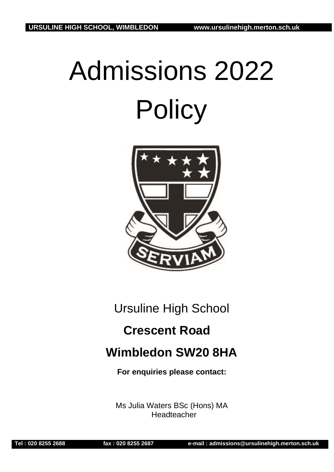# Admissions 2022 **Policy**



Ursuline High School

# **Crescent Road**

# **Wimbledon SW20 8HA**

**For enquiries please contact:**

Ms Julia Waters BSc (Hons) MA Headteacher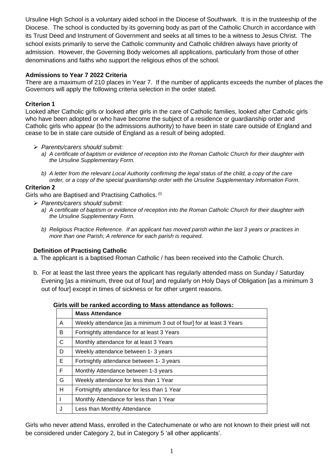Ursuline High School is a voluntary aided school in the Diocese of Southwark. It is in the trusteeship of the Diocese. The school is conducted by its governing body as part of the Catholic Church in accordance with its Trust Deed and Instrument of Government and seeks at all times to be a witness to Jesus Christ. The school exists primarily to serve the Catholic community and Catholic children always have priority of admission. However, the Governing Body welcomes all applications, particularly from those of other denominations and faiths who support the religious ethos of the school.

# **Admissions to Year 7 2022 Criteria**

There are a maximum of 210 places in Year 7. If the number of applicants exceeds the number of places the Governors will apply the following criteria selection in the order stated.

# **Criterion 1**

Looked after Catholic girls or looked after girls in the care of Catholic families, looked after Catholic girls who have been adopted or who have become the subject of a residence or guardianship order and Catholic girls who appear (to the admissions authority) to have been in state care outside of England and cease to be in state care outside of England as a result of being adopted.

#### ➢ *Parents/carers should submit:*

- *a) A certificate of baptism or evidence of reception into the Roman Catholic Church for their daughter with the Ursuline Supplementary Form.*
- *b) A letter from the relevant Local Authority confirming the legal status of the child, a copy of the care order, or a copy of the special guardianship order with the Ursuline Supplementary Information Form.*

## **Criterion 2**

Girls who are Baptised and Practising Catholics. (i)

- ➢ *Parents/carers should submit:*
	- *a) A certificate of baptism or evidence of reception into the Roman Catholic Church for their daughter with the Ursuline Supplementary Form.*
	- *b) Religious Practice Reference. If an applicant has moved parish within the last 3 years or practices in more than one Parish; A reference for each parish is required.*

#### **Definition of Practising Catholic**

- a. The applicant is a baptised Roman Catholic / has been received into the Catholic Church.
- b. For at least the last three years the applicant has regularly attended mass on Sunday / Saturday Evening [as a minimum, three out of four] and regularly on Holy Days of Obligation [as a minimum 3 out of four] except in times of sickness or for other urgent reasons.

#### **Girls will be ranked according to Mass attendance as follows:**

|                | <b>Mass Attendance</b>                                              |
|----------------|---------------------------------------------------------------------|
| A              | Weekly attendance [as a minimum 3 out of four] for at least 3 Years |
| B              | Fortnightly attendance for at least 3 Years                         |
| $\overline{C}$ | Monthly attendance for at least 3 Years                             |
| D              | Weekly attendance between 1-3 years                                 |
| E              | Fortnightly attendance between 1-3 years                            |
| E              | Monthly Attendance between 1-3 years                                |
| G              | Weekly attendance for less than 1 Year                              |
| H              | Fortnightly attendance for less than 1 Year                         |
|                | Monthly Attendance for less than 1 Year                             |
|                | Less than Monthly Attendance                                        |

Girls who never attend Mass, enrolled in the Catechumenate or who are not known to their priest will not be considered under Category 2, but in Category 5 'all other applicants'.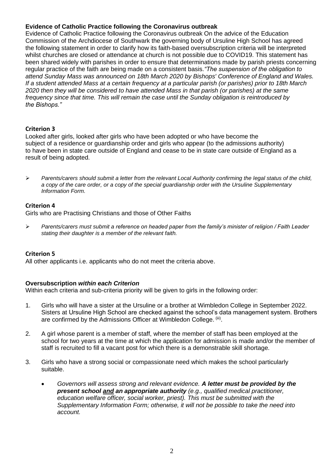#### **Evidence of Catholic Practice following the Coronavirus outbreak**

Evidence of Catholic Practice following the Coronavirus outbreak On the advice of the Education Commission of the Archdiocese of Southwark the governing body of Ursuline High School has agreed the following statement in order to clarify how its faith-based oversubscription criteria will be interpreted whilst churches are closed or attendance at church is not possible due to COVID19. This statement has been shared widely with parishes in order to ensure that determinations made by parish priests concerning regular practice of the faith are being made on a consistent basis.*"The suspension of the obligation to attend Sunday Mass was announced on 18th March 2020 by Bishops' Conference of England and Wales. If a student attended Mass at a certain frequency at a particular parish (or parishes) prior to 18th March 2020 then they will be considered to have attended Mass in that parish (or parishes) at the same frequency since that time. This will remain the case until the Sunday obligation is reintroduced by the Bishops."*

#### **Criterion 3**

Looked after girls, looked after girls who have been adopted or who have become the subject of a residence or guardianship order and girls who appear (to the admissions authority) to have been in state care outside of England and cease to be in state care outside of England as a result of being adopted.

➢ *Parents/carers should submit a letter from the relevant Local Authority confirming the legal status of the child, a copy of the care order, or a copy of the special guardianship order with the Ursuline Supplementary Information Form.*

#### **Criterion 4**

Girls who are Practising Christians and those of Other Faiths

➢ *Parents/carers must submit a reference on headed paper from the family's minister of religion / Faith Leader stating their daughter is a member of the relevant faith.*

#### **Criterion 5**

All other applicants i.e. applicants who do not meet the criteria above.

#### **Oversubscription** *within each Criterion*

Within each criteria and sub-criteria priority will be given to girls in the following order:

- 1. Girls who will have a sister at the Ursuline or a brother at Wimbledon College in September 2022. Sisters at Ursuline High School are checked against the school's data management system. Brothers are confirmed by the Admissions Officer at Wimbledon College. <sup>(iii)</sup>.
- 2. A girl whose parent is a member of staff, where the member of staff has been employed at the school for two years at the time at which the application for admission is made and/or the member of staff is recruited to fill a vacant post for which there is a demonstrable skill shortage.
- 3. Girls who have a strong social or compassionate need which makes the school particularly suitable.
	- *Governors will assess strong and relevant evidence. A letter must be provided by the present school and an appropriate authority (e.g., qualified medical practitioner, education welfare officer, social worker, priest). This must be submitted with the Supplementary Information Form; otherwise, it will not be possible to take the need into account.*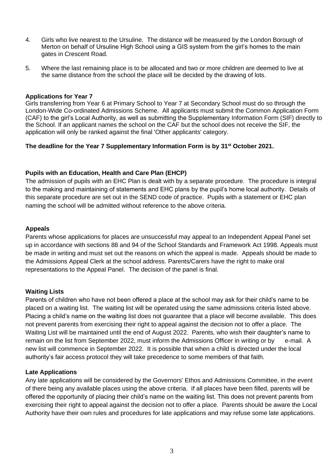- 4. Girls who live nearest to the Ursuline. The distance will be measured by the London Borough of Merton on behalf of Ursuline High School using a GIS system from the girl's homes to the main gates in Crescent Road.
- 5. Where the last remaining place is to be allocated and two or more children are deemed to live at the same distance from the school the place will be decided by the drawing of lots.

#### **Applications for Year 7**

Girls transferring from Year 6 at Primary School to Year 7 at Secondary School must do so through the London-Wide Co-ordinated Admissions Scheme. All applicants must submit the Common Application Form (CAF) to the girl's Local Authority, as well as submitting the Supplementary Information Form (SIF) directly to the School. If an applicant names the school on the CAF but the school does not receive the SIF, the application will only be ranked against the final 'Other applicants' category.

#### **The deadline for the Year 7 Supplementary Information Form is by 31 st October 2021.**

#### **Pupils with an Education, Health and Care Plan (EHCP)**

The admission of pupils with an EHC Plan is dealt with by a separate procedure. The procedure is integral to the making and maintaining of statements and EHC plans by the pupil's home local authority. Details of this separate procedure are set out in the SEND code of practice. Pupils with a statement or EHC plan naming the school will be admitted without reference to the above criteria.

#### **Appeals**

Parents whose applications for places are unsuccessful may appeal to an Independent Appeal Panel set up in accordance with sections 88 and 94 of the School Standards and Framework Act 1998. Appeals must be made in writing and must set out the reasons on which the appeal is made. Appeals should be made to the Admissions Appeal Clerk at the school address. Parents/Carers have the right to make oral representations to the Appeal Panel. The decision of the panel is final.

#### **Waiting Lists**

Parents of children who have not been offered a place at the school may ask for their child's name to be placed on a waiting list. The waiting list will be operated using the same admissions criteria listed above. Placing a child's name on the waiting list does not guarantee that a place will become available. This does not prevent parents from exercising their right to appeal against the decision not to offer a place. The Waiting List will be maintained until the end of August 2022. Parents, who wish their daughter's name to remain on the list from September 2022, must inform the Admissions Officer in writing or by e-mail. A new list will commence in September 2022. It is possible that when a child is directed under the local authority's fair access protocol they will take precedence to some members of that faith.

#### **Late Applications**

Any late applications will be considered by the Governors' Ethos and Admissions Committee, in the event of there being any available places using the above criteria. If all places have been filled, parents will be offered the opportunity of placing their child's name on the waiting list. This does not prevent parents from exercising their right to appeal against the decision not to offer a place. Parents should be aware the Local Authority have their own rules and procedures for late applications and may refuse some late applications.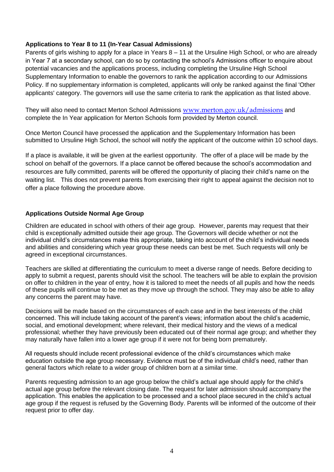## **Applications to Year 8 to 11 (In-Year Casual Admissions)**

Parents of girls wishing to apply for a place in Years 8 – 11 at the Ursuline High School, or who are already in Year 7 at a secondary school, can do so by contacting the school's Admissions officer to enquire about potential vacancies and the applications process, including completing the Ursuline High School Supplementary Information to enable the governors to rank the application according to our Admissions Policy. If no supplementary information is completed, applicants will only be ranked against the final 'Other applicants' category. The governors will use the same criteria to rank the application as that listed above.

They will also need to contact Merton School Admissions [www.merton.gov.uk/admissions](http://www.merton.gov.uk/admissions) and complete the In Year application for Merton Schools form provided by Merton council.

Once Merton Council have processed the application and the Supplementary Information has been submitted to Ursuline High School, the school will notify the applicant of the outcome within 10 school days.

If a place is available, it will be given at the earliest opportunity. The offer of a place will be made by the school on behalf of the governors. If a place cannot be offered because the school's accommodation and resources are fully committed, parents will be offered the opportunity of placing their child's name on the waiting list. This does not prevent parents from exercising their right to appeal against the decision not to offer a place following the procedure above.

## **Applications Outside Normal Age Group**

Children are educated in school with others of their age group. However, parents may request that their child is exceptionally admitted outside their age group. The Governors will decide whether or not the individual child's circumstances make this appropriate, taking into account of the child's individual needs and abilities and considering which year group these needs can best be met. Such requests will only be agreed in exceptional circumstances.

Teachers are skilled at differentiating the curriculum to meet a diverse range of needs. Before deciding to apply to submit a request, parents should visit the school. The teachers will be able to explain the provision on offer to children in the year of entry, how it is tailored to meet the needs of all pupils and how the needs of these pupils will continue to be met as they move up through the school. They may also be able to allay any concerns the parent may have.

Decisions will be made based on the circumstances of each case and in the best interests of the child concerned. This will include taking account of the parent's views; information about the child's academic, social, and emotional development; where relevant, their medical history and the views of a medical professional; whether they have previously been educated out of their normal age group; and whether they may naturally have fallen into a lower age group if it were not for being born prematurely.

All requests should include recent professional evidence of the child's circumstances which make education outside the age group necessary. Evidence must be of the individual child's need, rather than general factors which relate to a wider group of children born at a similar time.

Parents requesting admission to an age group below the child's actual age should apply for the child's actual age group before the relevant closing date. The request for later admission should accompany the application. This enables the application to be processed and a school place secured in the child's actual age group if the request is refused by the Governing Body. Parents will be informed of the outcome of their request prior to offer day.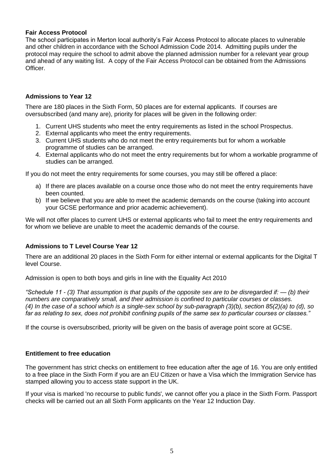#### **Fair Access Protocol**

The school participates in Merton local authority's Fair Access Protocol to allocate places to vulnerable and other children in accordance with the School Admission Code 2014. Admitting pupils under the protocol may require the school to admit above the planned admission number for a relevant year group and ahead of any waiting list. A copy of the Fair Access Protocol can be obtained from the Admissions Officer.

# **Admissions to Year 12**

There are 180 places in the Sixth Form, 50 places are for external applicants. If courses are oversubscribed (and many are), priority for places will be given in the following order:

- 1. Current UHS students who meet the entry requirements as listed in the school Prospectus.
- 2. External applicants who meet the entry requirements.
- 3. Current UHS students who do not meet the entry requirements but for whom a workable programme of studies can be arranged.
- 4. External applicants who do not meet the entry requirements but for whom a workable programme of studies can be arranged.

If you do not meet the entry requirements for some courses, you may still be offered a place:

- a) If there are places available on a course once those who do not meet the entry requirements have been counted.
- b) If we believe that you are able to meet the academic demands on the course (taking into account your GCSE performance and prior academic achievement).

We will not offer places to current UHS or external applicants who fail to meet the entry requirements and for whom we believe are unable to meet the academic demands of the course.

#### **Admissions to T Level Course Year 12**

There are an additional 20 places in the Sixth Form for either internal or external applicants for the Digital T level Course.

Admission is open to both boys and girls in line with the Equality Act 2010

*"Schedule 11 - (3) That assumption is that pupils of the opposite sex are to be disregarded if: — (b) their numbers are comparatively small, and their admission is confined to particular courses or classes. (4) In the case of a school which is a single-sex school by sub-paragraph (3)(b), section 85(2)(a) to (d), so far as relating to sex, does not prohibit confining pupils of the same sex to particular courses or classes."*

If the course is oversubscribed, priority will be given on the basis of average point score at GCSE.

#### **Entitlement to free education**

The government has strict checks on entitlement to free education after the age of 16. You are only entitled to a free place in the Sixth Form if you are an EU Citizen or have a Visa which the Immigration Service has stamped allowing you to access state support in the UK.

If your visa is marked 'no recourse to public funds', we cannot offer you a place in the Sixth Form. Passport checks will be carried out an all Sixth Form applicants on the Year 12 Induction Day.